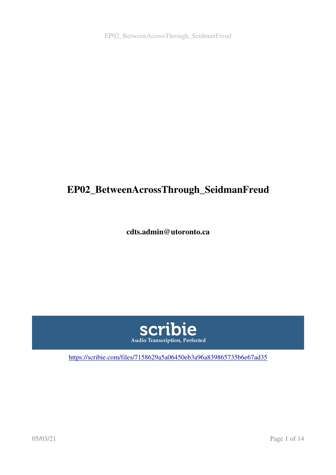# EP02\_BetweenAcrossThrough\_SeidmanFreud

cdts.admin@utoronto.ca



<https://scribie.com/files/7158629a5a06450eb3a96a839865735b6e67ad35>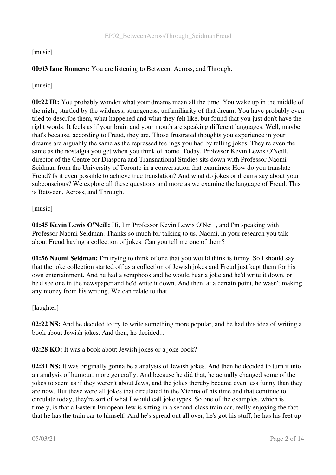# [music]

# 00:03 Iane Romero: You are listening to Between, Across, and Through.

[music]

00:22 IR: You probably wonder what your dreams mean all the time. You wake up in the middle of the night, startled by the wildness, strangeness, unfamiliarity of that dream. You have probably even tried to describe them, what happened and what they felt like, but found that you just don't have the right words. It feels as if your brain and your mouth are speaking different languages. Well, maybe that's because, according to Freud, they are. Those frustrated thoughts you experience in your dreams are arguably the same as the repressed feelings you had by telling jokes. They're even the same as the nostalgia you get when you think of home. Today, Professor Kevin Lewis O'Neill, director of the Centre for Diaspora and Transnational Studies sits down with Professor Naomi Seidman from the University of Toronto in a conversation that examines: How do you translate Freud? Is it even possible to achieve true translation? And what do jokes or dreams say about your subconscious? We explore all these questions and more as we examine the language of Freud. This is Between, Across, and Through.

# [music]

01:45 Kevin Lewis O'Neill: Hi, I'm Professor Kevin Lewis O'Neill, and I'm speaking with Professor Naomi Seidman. Thanks so much for talking to us. Naomi, in your research you talk about Freud having a collection of jokes. Can you tell me one of them?

01:56 Naomi Seidman: I'm trying to think of one that you would think is funny. So I should say that the joke collection started off as a collection of Jewish jokes and Freud just kept them for his own entertainment. And he had a scrapbook and he would hear a joke and he'd write it down, or he'd see one in the newspaper and he'd write it down. And then, at a certain point, he wasn't making any money from his writing. We can relate to that.

# [laughter]

02:22 NS: And he decided to try to write something more popular, and he had this idea of writing a book about Jewish jokes. And then, he decided...

02:28 KO: It was a book about Jewish jokes or a joke book?

02:31 NS: It was originally gonna be a analysis of Jewish jokes. And then he decided to turn it into an analysis of humour, more generally. And because he did that, he actually changed some of the jokes to seem as if they weren't about Jews, and the jokes thereby became even less funny than they are now. But these were all jokes that circulated in the Vienna of his time and that continue to circulate today, they're sort of what I would call joke types. So one of the examples, which is timely, is that a Eastern European Jew is sitting in a second-class train car, really enjoying the fact that he has the train car to himself. And he's spread out all over, he's got his stuff, he has his feet up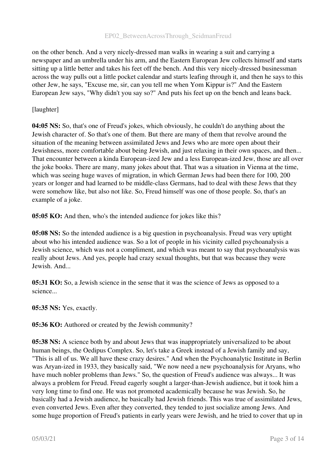on the other bench. And a very nicely-dressed man walks in wearing a suit and carrying a newspaper and an umbrella under his arm, and the Eastern European Jew collects himself and starts sitting up a little better and takes his feet off the bench. And this very nicely-dressed businessman across the way pulls out a little pocket calendar and starts leafing through it, and then he says to this other Jew, he says, "Excuse me, sir, can you tell me when Yom Kippur is?" And the Eastern European Jew says, "Why didn't you say so?" And puts his feet up on the bench and leans back.

#### [laughter]

04:05 NS: So, that's one of Freud's jokes, which obviously, he couldn't do anything about the Jewish character of. So that's one of them. But there are many of them that revolve around the situation of the meaning between assimilated Jews and Jews who are more open about their Jewishness, more comfortable about being Jewish, and just relaxing in their own spaces, and then... That encounter between a kinda European-ized Jew and a less European-ized Jew, those are all over the joke books. There are many, many jokes about that. That was a situation in Vienna at the time, which was seeing huge waves of migration, in which German Jews had been there for 100, 200 years or longer and had learned to be middle-class Germans, had to deal with these Jews that they were somehow like, but also not like. So, Freud himself was one of those people. So, that's an example of a joke.

05:05 KO: And then, who's the intended audience for jokes like this?

05:08 NS: So the intended audience is a big question in psychoanalysis. Freud was very uptight about who his intended audience was. So a lot of people in his vicinity called psychoanalysis a Jewish science, which was not a compliment, and which was meant to say that psychoanalysis was really about Jews. And yes, people had crazy sexual thoughts, but that was because they were Jewish. And...

05:31 KO: So, a Jewish science in the sense that it was the science of Jews as opposed to a science...

05:35 NS: Yes, exactly.

05:36 KO: Authored or created by the Jewish community?

**05:38 NS:** A science both by and about Jews that was inappropriately universalized to be about human beings, the Oedipus Complex. So, let's take a Greek instead of a Jewish family and say, "This is all of us. We all have these crazy desires." And when the Psychoanalytic Institute in Berlin was Aryan-ized in 1933, they basically said, "We now need a new psychoanalysis for Aryans, who have much nobler problems than Jews." So, the question of Freud's audience was always... It was always a problem for Freud. Freud eagerly sought a larger-than-Jewish audience, but it took him a very long time to find one. He was not promoted academically because he was Jewish. So, he basically had a Jewish audience, he basically had Jewish friends. This was true of assimilated Jews, even converted Jews. Even after they converted, they tended to just socialize among Jews. And some huge proportion of Freud's patients in early years were Jewish, and he tried to cover that up in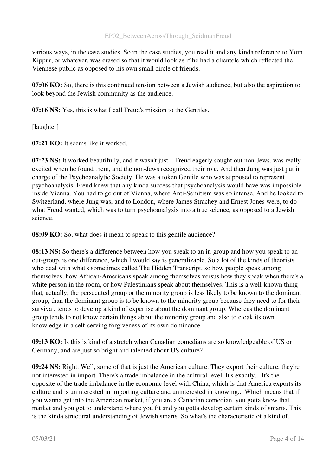various ways, in the case studies. So in the case studies, you read it and any kinda reference to Yom Kippur, or whatever, was erased so that it would look as if he had a clientele which reflected the Viennese public as opposed to his own small circle of friends.

07:06 KO: So, there is this continued tension between a Jewish audience, but also the aspiration to look beyond the Jewish community as the audience.

07:16 NS: Yes, this is what I call Freud's mission to the Gentiles.

[laughter]

07:21 KO: It seems like it worked.

07:23 NS: It worked beautifully, and it wasn't just... Freud eagerly sought out non-Jews, was really excited when he found them, and the non-Jews recognized their role. And then Jung was just put in charge of the Psychoanalytic Society. He was a token Gentile who was supposed to represent psychoanalysis. Freud knew that any kinda success that psychoanalysis would have was impossible inside Vienna. You had to go out of Vienna, where Anti-Semitism was so intense. And he looked to Switzerland, where Jung was, and to London, where James Strachey and Ernest Jones were, to do what Freud wanted, which was to turn psychoanalysis into a true science, as opposed to a Jewish science.

08:09 KO: So, what does it mean to speak to this gentile audience?

08:13 NS: So there's a difference between how you speak to an in-group and how you speak to an out-group, is one difference, which I would say is generalizable. So a lot of the kinds of theorists who deal with what's sometimes called The Hidden Transcript, so how people speak among themselves, how African-Americans speak among themselves versus how they speak when there's a white person in the room, or how Palestinians speak about themselves. This is a well-known thing that, actually, the persecuted group or the minority group is less likely to be known to the dominant group, than the dominant group is to be known to the minority group because they need to for their survival, tends to develop a kind of expertise about the dominant group. Whereas the dominant group tends to not know certain things about the minority group and also to cloak its own knowledge in a self-serving forgiveness of its own dominance.

09:13 KO: Is this is kind of a stretch when Canadian comedians are so knowledgeable of US or Germany, and are just so bright and talented about US culture?

09:24 NS: Right. Well, some of that is just the American culture. They export their culture, they're not interested in import. There's a trade imbalance in the cultural level. It's exactly... It's the opposite of the trade imbalance in the economic level with China, which is that America exports its culture and is uninterested in importing culture and uninterested in knowing... Which means that if you wanna get into the American market, if you are a Canadian comedian, you gotta know that market and you got to understand where you fit and you gotta develop certain kinds of smarts. This is the kinda structural understanding of Jewish smarts. So what's the characteristic of a kind of...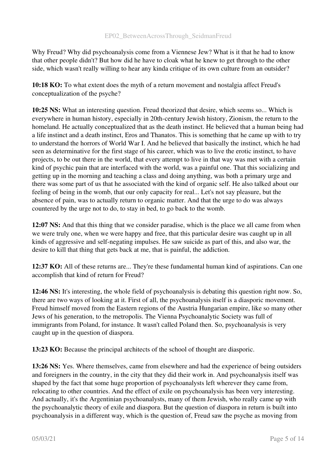Why Freud? Why did psychoanalysis come from a Viennese Jew? What is it that he had to know that other people didn't? But how did he have to cloak what he knew to get through to the other side, which wasn't really willing to hear any kinda critique of its own culture from an outsider?

10:18 KO: To what extent does the myth of a return movement and nostalgia affect Freud's conceptualization of the psyche?

10:25 NS: What an interesting question. Freud theorized that desire, which seems so... Which is everywhere in human history, especially in 20th-century Jewish history, Zionism, the return to the homeland. He actually conceptualized that as the death instinct. He believed that a human being had a life instinct and a death instinct, Eros and Thanatos. This is something that he came up with to try to understand the horrors of World War I. And he believed that basically the instinct, which he had seen as determinative for the first stage of his career, which was to live the erotic instinct, to have projects, to be out there in the world, that every attempt to live in that way was met with a certain kind of psychic pain that are interfaced with the world, was a painful one. That this socializing and getting up in the morning and teaching a class and doing anything, was both a primary urge and there was some part of us that he associated with the kind of organic self. He also talked about our feeling of being in the womb, that our only capacity for real... Let's not say pleasure, but the absence of pain, was to actually return to organic matter. And that the urge to do was always countered by the urge not to do, to stay in bed, to go back to the womb.

12:07 NS: And that this thing that we consider paradise, which is the place we all came from when we were truly one, when we were happy and free, that this particular desire was caught up in all kinds of aggressive and self-negating impulses. He saw suicide as part of this, and also war, the desire to kill that thing that gets back at me, that is painful, the addiction.

12:37 KO: All of these returns are... They're these fundamental human kind of aspirations. Can one accomplish that kind of return for Freud?

12:46 NS: It's interesting, the whole field of psychoanalysis is debating this question right now. So, there are two ways of looking at it. First of all, the psychoanalysis itself is a diasporic movement. Freud himself moved from the Eastern regions of the Austria Hungarian empire, like so many other Jews of his generation, to the metropolis. The Vienna Psychoanalytic Society was full of immigrants from Poland, for instance. It wasn't called Poland then. So, psychoanalysis is very caught up in the question of diaspora.

13:23 KO: Because the principal architects of the school of thought are diasporic.

13:26 NS: Yes. Where themselves, came from elsewhere and had the experience of being outsiders and foreigners in the country, in the city that they did their work in. And psychoanalysis itself was shaped by the fact that some huge proportion of psychoanalysts left wherever they came from, relocating to other countries. And the effect of exile on psychoanalysis has been very interesting. And actually, it's the Argentinian psychoanalysts, many of them Jewish, who really came up with the psychoanalytic theory of exile and diaspora. But the question of diaspora in return is built into psychoanalysis in a different way, which is the question of, Freud saw the psyche as moving from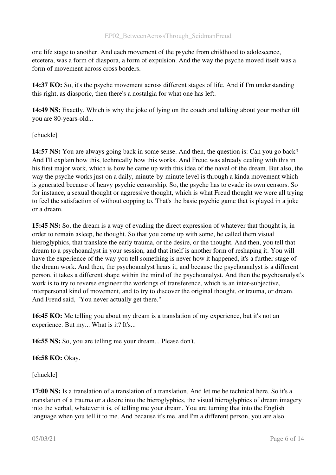one life stage to another. And each movement of the psyche from childhood to adolescence, etcetera, was a form of diaspora, a form of expulsion. And the way the psyche moved itself was a form of movement across cross borders.

14:37 KO: So, it's the psyche movement across different stages of life. And if I'm understanding this right, as diasporic, then there's a nostalgia for what one has left.

14:49 NS: Exactly. Which is why the joke of lying on the couch and talking about your mother till you are 80-years-old...

# [chuckle]

14:57 NS: You are always going back in some sense. And then, the question is: Can you go back? And I'll explain how this, technically how this works. And Freud was already dealing with this in his first major work, which is how he came up with this idea of the navel of the dream. But also, the way the psyche works just on a daily, minute-by-minute level is through a kinda movement which is generated because of heavy psychic censorship. So, the psyche has to evade its own censors. So for instance, a sexual thought or aggressive thought, which is what Freud thought we were all trying to feel the satisfaction of without copping to. That's the basic psychic game that is played in a joke or a dream.

15:45 NS: So, the dream is a way of evading the direct expression of whatever that thought is, in order to remain asleep, he thought. So that you come up with some, he called them visual hieroglyphics, that translate the early trauma, or the desire, or the thought. And then, you tell that dream to a psychoanalyst in your session, and that itself is another form of reshaping it. You will have the experience of the way you tell something is never how it happened, it's a further stage of the dream work. And then, the psychoanalyst hears it, and because the psychoanalyst is a different person, it takes a different shape within the mind of the psychoanalyst. And then the psychoanalyst's work is to try to reverse engineer the workings of transference, which is an inter-subjective, interpersonal kind of movement, and to try to discover the original thought, or trauma, or dream. And Freud said, "You never actually get there."

16:45 KO: Me telling you about my dream is a translation of my experience, but it's not an experience. But my... What is it? It's...

16:55 NS: So, you are telling me your dream... Please don't.

# 16:58 KO: Okay.

[chuckle]

17:00 NS: Is a translation of a translation of a translation. And let me be technical here. So it's a translation of a trauma or a desire into the hieroglyphics, the visual hieroglyphics of dream imagery into the verbal, whatever it is, of telling me your dream. You are turning that into the English language when you tell it to me. And because it's me, and I'm a different person, you are also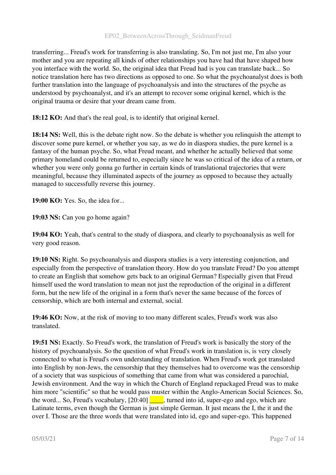transferring... Freud's work for transferring is also translating. So, I'm not just me, I'm also your mother and you are repeating all kinds of other relationships you have had that have shaped how you interface with the world. So, the original idea that Freud had is you can translate back... So notice translation here has two directions as opposed to one. So what the psychoanalyst does is both further translation into the language of psychoanalysis and into the structures of the psyche as understood by psychoanalyst, and it's an attempt to recover some original kernel, which is the original trauma or desire that your dream came from.

18:12 KO: And that's the real goal, is to identify that original kernel.

18:14 NS: Well, this is the debate right now. So the debate is whether you relinquish the attempt to discover some pure kernel, or whether you say, as we do in diaspora studies, the pure kernel is a fantasy of the human psyche. So, what Freud meant, and whether he actually believed that some primary homeland could be returned to, especially since he was so critical of the idea of a return, or whether you were only gonna go further in certain kinds of translational trajectories that were meaningful, because they illuminated aspects of the journey as opposed to because they actually managed to successfully reverse this journey.

19:00 KO: Yes. So, the idea for...

19:03 NS: Can you go home again?

19:04 KO: Yeah, that's central to the study of diaspora, and clearly to psychoanalysis as well for very good reason.

19:10 NS: Right. So psychoanalysis and diaspora studies is a very interesting conjunction, and especially from the perspective of translation theory. How do you translate Freud? Do you attempt to create an English that somehow gets back to an original German? Especially given that Freud himself used the word translation to mean not just the reproduction of the original in a different form, but the new life of the original in a form that's never the same because of the forces of censorship, which are both internal and external, social.

19:46 KO: Now, at the risk of moving to too many different scales, Freud's work was also translated.

19:51 NS: Exactly. So Freud's work, the translation of Freud's work is basically the story of the history of psychoanalysis. So the question of what Freud's work in translation is, is very closely connected to what is Freud's own understanding of translation. When Freud's work got translated into English by non-Jews, the censorship that they themselves had to overcome was the censorship of a society that was suspicious of something that came from what was considered a parochial, Jewish environment. And the way in which the Church of England repackaged Freud was to make him more "scientific" so that he would pass muster within the Anglo-American Social Sciences. So, the word... So, Freud's vocabulary,  $[20:40]$  , turned into id, super-ego and ego, which are Latinate terms, even though the German is just simple German. It just means the I, the it and the over I. Those are the three words that were translated into id, ego and super-ego. This happened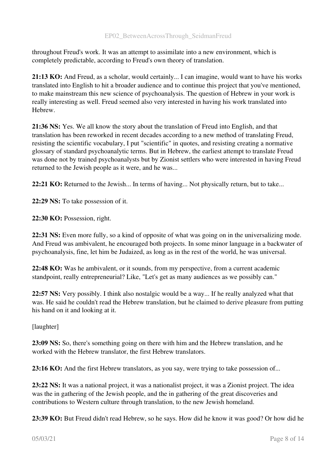throughout Freud's work. It was an attempt to assimilate into a new environment, which is completely predictable, according to Freud's own theory of translation.

21:13 KO: And Freud, as a scholar, would certainly... I can imagine, would want to have his works translated into English to hit a broader audience and to continue this project that you've mentioned, to make mainstream this new science of psychoanalysis. The question of Hebrew in your work is really interesting as well. Freud seemed also very interested in having his work translated into Hebrew.

21:36 NS: Yes. We all know the story about the translation of Freud into English, and that translation has been reworked in recent decades according to a new method of translating Freud, resisting the scientific vocabulary, I put "scientific" in quotes, and resisting creating a normative glossary of standard psychoanalytic terms. But in Hebrew, the earliest attempt to translate Freud was done not by trained psychoanalysts but by Zionist settlers who were interested in having Freud returned to the Jewish people as it were, and he was...

22:21 KO: Returned to the Jewish... In terms of having... Not physically return, but to take...

22:29 NS: To take possession of it.

22:30 KO: Possession, right.

22:31 NS: Even more fully, so a kind of opposite of what was going on in the universalizing mode. And Freud was ambivalent, he encouraged both projects. In some minor language in a backwater of psychoanalysis, fine, let him be Judaized, as long as in the rest of the world, he was universal.

22:48 KO: Was he ambivalent, or it sounds, from my perspective, from a current academic standpoint, really entrepreneurial? Like, "Let's get as many audiences as we possibly can."

22:57 NS: Very possibly. I think also nostalgic would be a way... If he really analyzed what that was. He said he couldn't read the Hebrew translation, but he claimed to derive pleasure from putting his hand on it and looking at it.

[laughter]

23:09 NS: So, there's something going on there with him and the Hebrew translation, and he worked with the Hebrew translator, the first Hebrew translators.

23:16 KO: And the first Hebrew translators, as you say, were trying to take possession of...

23:22 NS: It was a national project, it was a nationalist project, it was a Zionist project. The idea was the in gathering of the Jewish people, and the in gathering of the great discoveries and contributions to Western culture through translation, to the new Jewish homeland.

23:39 KO: But Freud didn't read Hebrew, so he says. How did he know it was good? Or how did he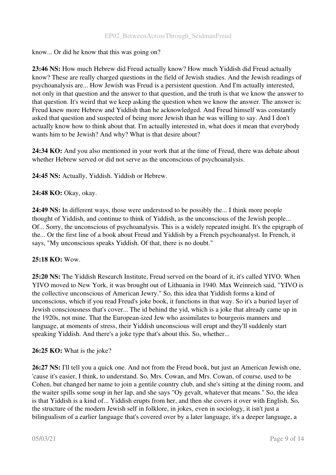#### know... Or did he know that this was going on?

23:46 NS: How much Hebrew did Freud actually know? How much Yiddish did Freud actually know? These are really charged questions in the field of Jewish studies. And the Jewish readings of psychoanalysis are... How Jewish was Freud is a persistent question. And I'm actually interested, not only in that question and the answer to that question, and the truth is that we know the answer to that question. It's weird that we keep asking the question when we know the answer. The answer is: Freud knew more Hebrew and Yiddish than he acknowledged. And Freud himself was constantly asked that question and suspected of being more Jewish than he was willing to say. And I don't actually know how to think about that. I'm actually interested in, what does it mean that everybody wants him to be Jewish? And why? What is that desire about?

24:34 KO: And you also mentioned in your work that at the time of Freud, there was debate about whether Hebrew served or did not serve as the unconscious of psychoanalysis.

24:45 NS: Actually, Yiddish. Yiddish or Hebrew.

# 24:48 KO: Okay, okay.

24:49 NS: In different ways, those were understood to be possibly the... I think more people thought of Yiddish, and continue to think of Yiddish, as the unconscious of the Jewish people... Of... Sorry, the unconscious of psychoanalysis. This is a widely repeated insight. It's the epigraph of the... Or the first line of a book about Freud and Yiddish by a French psychoanalyst. In French, it says, "My unconscious speaks Yiddish. Of that, there is no doubt."

#### 25:18 KO: Wow.

25:20 NS: The Yiddish Research Institute, Freud served on the board of it, it's called YIVO. When YIVO moved to New York, it was brought out of Lithuania in 1940. Max Weinreich said, "YIVO is the collective unconscious of American Jewry." So, this idea that Yiddish forms a kind of unconscious, which if you read Freud's joke book, it functions in that way. So it's a buried layer of Jewish consciousness that's cover... The id behind the yid, which is a joke that already came up in the 1920s, not mine. That the European-ized Jew who assimilates to bourgeois manners and language, at moments of stress, their Yiddish unconscious will erupt and they'll suddenly start speaking Yiddish. And there's a joke type that's about this. So, whether...

#### 26:25 KO: What is the joke?

26:27 NS: I'll tell you a quick one. And not from the Freud book, but just an American Jewish one, 'cause it's easier, I think, to understand. So, Mrs. Cowan, and Mrs. Cowan, of course, used to be Cohen, but changed her name to join a gentile country club, and she's sitting at the dining room, and the waiter spills some soup in her lap, and she says "Oy gevalt, whatever that means." So, the idea is that Yiddish is a kind of... Yiddish erupts from her, and then she covers it over with English. So, the structure of the modern Jewish self in folklore, in jokes, even in sociology, it isn't just a bilingualism of a earlier language that's covered over by a later language, it's a deeper language, a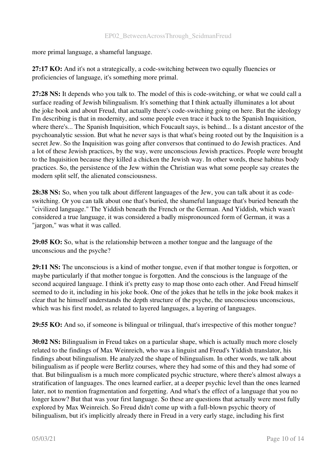more primal language, a shameful language.

27:17 KO: And it's not a strategically, a code-switching between two equally fluencies or proficiencies of language, it's something more primal.

27:28 NS: It depends who you talk to. The model of this is code-switching, or what we could call a surface reading of Jewish bilingualism. It's something that I think actually illuminates a lot about the joke book and about Freud, that actually there's code-switching going on here. But the ideology I'm describing is that in modernity, and some people even trace it back to the Spanish Inquisition, where there's... The Spanish Inquisition, which Foucault says, is behind... Is a distant ancestor of the psychoanalytic session. But what he never says is that what's being rooted out by the Inquisition is a secret Jew. So the Inquisition was going after conversos that continued to do Jewish practices. And a lot of these Jewish practices, by the way, were unconscious Jewish practices. People were brought to the Inquisition because they killed a chicken the Jewish way. In other words, these habitus body practices. So, the persistence of the Jew within the Christian was what some people say creates the modern split self, the alienated consciousness.

28:38 NS: So, when you talk about different languages of the Jew, you can talk about it as codeswitching. Or you can talk about one that's buried, the shameful language that's buried beneath the "civilized language." The Yiddish beneath the French or the German. And Yiddish, which wasn't considered a true language, it was considered a badly mispronounced form of German, it was a "jargon," was what it was called.

29:05 KO: So, what is the relationship between a mother tongue and the language of the unconscious and the psyche?

29:11 NS: The unconscious is a kind of mother tongue, even if that mother tongue is forgotten, or maybe particularly if that mother tongue is forgotten. And the conscious is the language of the second acquired language. I think it's pretty easy to map those onto each other. And Freud himself seemed to do it, including in his joke book. One of the jokes that he tells in the joke book makes it clear that he himself understands the depth structure of the psyche, the unconscious unconscious, which was his first model, as related to layered languages, a layering of languages.

29:55 KO: And so, if someone is bilingual or trilingual, that's irrespective of this mother tongue?

30:02 NS: Bilingualism in Freud takes on a particular shape, which is actually much more closely related to the findings of Max Weinreich, who was a linguist and Freud's Yiddish translator, his findings about bilingualism. He analyzed the shape of bilingualism. In other words, we talk about bilingualism as if people were Berlitz courses, where they had some of this and they had some of that. But bilingualism is a much more complicated psychic structure, where there's almost always a stratification of languages. The ones learned earlier, at a deeper psychic level than the ones learned later, not to mention fragmentation and forgetting. And what's the effect of a language that you no longer know? But that was your first language. So these are questions that actually were most fully explored by Max Weinreich. So Freud didn't come up with a full-blown psychic theory of bilingualism, but it's implicitly already there in Freud in a very early stage, including his first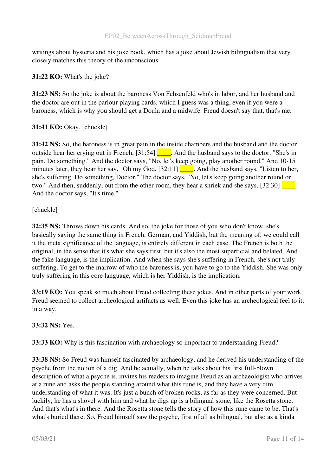writings about hysteria and his joke book, which has a joke about Jewish bilingualism that very closely matches this theory of the unconscious.

# 31:22 KO: What's the joke?

31:23 NS: So the joke is about the baroness Von Fehsenfeld who's in labor, and her husband and the doctor are out in the parlour playing cards, which I guess was a thing, even if you were a baroness, which is why you should get a Doula and a midwife. Freud doesn't say that, that's me.

# 31:41 KO: Okay. [chuckle]

31:42 NS: So, the baroness is in great pain in the inside chambers and the husband and the doctor outside hear her crying out in French, [31:54] \_\_\_\_. And the husband says to the doctor, "She's in pain. Do something." And the doctor says, "No, let's keep going, play another round." And 10-15 minutes later, they hear her say, "Oh my God,  $[32:11]$  . And the husband says, "Listen to her, she's suffering. Do something, Doctor." The doctor says, "No, let's keep going another round or two." And then, suddenly, out from the other room, they hear a shriek and she says,  $[32:30]$ And the doctor says, "It's time."

#### [chuckle]

32:35 NS: Throws down his cards. And so, the joke for those of you who don't know, she's basically saying the same thing in French, German, and Yiddish, but the meaning of, we could call it the meta significance of the language, is entirely different in each case. The French is both the original, in the sense that it's what she says first, but it's also the most superficial and belated. And the fake language, is the implication. And when she says she's suffering in French, she's not truly suffering. To get to the marrow of who the baroness is, you have to go to the Yiddish. She was only truly suffering in this core language, which is her Yiddish, is the implication.

33:19 KO: You speak so much about Freud collecting these jokes. And in other parts of your work, Freud seemed to collect archeological artifacts as well. Even this joke has an archeological feel to it, in a way.

# 33:32 NS: Yes.

33:33 KO: Why is this fascination with archaeology so important to understanding Freud?

33:38 NS: So Freud was himself fascinated by archaeology, and he derived his understanding of the psyche from the notion of a dig. And he actually, when he talks about his first full-blown description of what a psyche is, invites his readers to imagine Freud as an archaeologist who arrives at a rune and asks the people standing around what this rune is, and they have a very dim understanding of what it was. It's just a bunch of broken rocks, as far as they were concerned. But luckily, he has a shovel with him and what he digs up is a bilingual stone, like the Rosetta stone. And that's what's in there. And the Rosetta stone tells the story of how this rune came to be. That's what's buried there. So, Freud himself saw the psyche, first of all as bilingual, but also as a kinda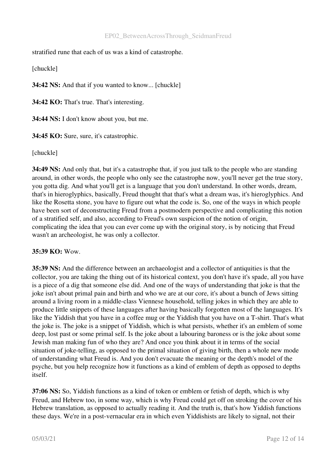stratified rune that each of us was a kind of catastrophe.

[chuckle]

34:42 NS: And that if you wanted to know... [chuckle]

34:42 KO: That's true. That's interesting.

34:44 NS: I don't know about you, but me.

34:45 KO: Sure, sure, it's catastrophic.

[chuckle]

34:49 NS: And only that, but it's a catastrophe that, if you just talk to the people who are standing around, in other words, the people who only see the catastrophe now, you'll never get the true story, you gotta dig. And what you'll get is a language that you don't understand. In other words, dream, that's in hieroglyphics, basically, Freud thought that that's what a dream was, it's hieroglyphics. And like the Rosetta stone, you have to figure out what the code is. So, one of the ways in which people have been sort of deconstructing Freud from a postmodern perspective and complicating this notion of a stratified self, and also, according to Freud's own suspicion of the notion of origin, complicating the idea that you can ever come up with the original story, is by noticing that Freud wasn't an archeologist, he was only a collector.

# 35:39 KO: Wow.

35:39 NS: And the difference between an archaeologist and a collector of antiquities is that the collector, you are taking the thing out of its historical context, you don't have it's spade, all you have is a piece of a dig that someone else did. And one of the ways of understanding that joke is that the joke isn't about primal pain and birth and who we are at our core, it's about a bunch of Jews sitting around a living room in a middle-class Viennese household, telling jokes in which they are able to produce little snippets of these languages after having basically forgotten most of the languages. It's like the Yiddish that you have in a coffee mug or the Yiddish that you have on a T-shirt. That's what the joke is. The joke is a snippet of Yiddish, which is what persists, whether it's an emblem of some deep, lost past or some primal self. Is the joke about a labouring baroness or is the joke about some Jewish man making fun of who they are? And once you think about it in terms of the social situation of joke-telling, as opposed to the primal situation of giving birth, then a whole new mode of understanding what Freud is. And you don't evacuate the meaning or the depth's model of the psyche, but you help recognize how it functions as a kind of emblem of depth as opposed to depths itself.

37:06 NS: So, Yiddish functions as a kind of token or emblem or fetish of depth, which is why Freud, and Hebrew too, in some way, which is why Freud could get off on stroking the cover of his Hebrew translation, as opposed to actually reading it. And the truth is, that's how Yiddish functions these days. We're in a post-vernacular era in which even Yiddishists are likely to signal, not their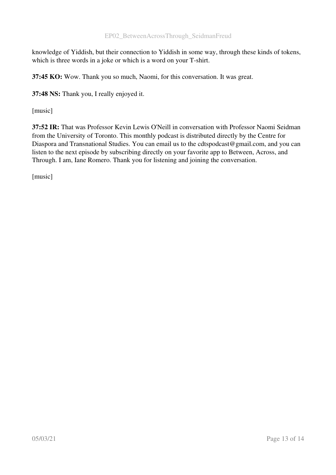knowledge of Yiddish, but their connection to Yiddish in some way, through these kinds of tokens, which is three words in a joke or which is a word on your T-shirt.

37:45 KO: Wow. Thank you so much, Naomi, for this conversation. It was great.

37:48 NS: Thank you, I really enjoyed it.

[music]

37:52 IR: That was Professor Kevin Lewis O'Neill in conversation with Professor Naomi Seidman from the University of Toronto. This monthly podcast is distributed directly by the Centre for Diaspora and Transnational Studies. You can email us to the cdtspodcast@gmail.com, and you can listen to the next episode by subscribing directly on your favorite app to Between, Across, and Through. I am, Iane Romero. Thank you for listening and joining the conversation.

[music]